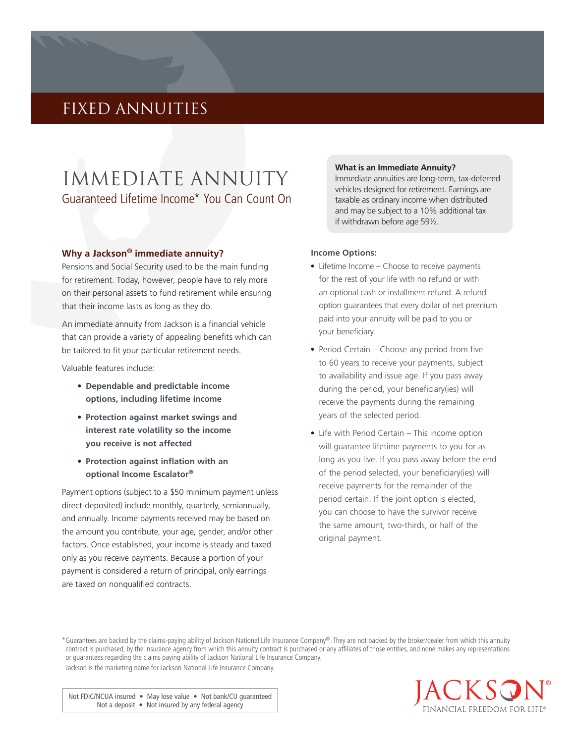## fixed annuities

## Immediate annuity Guaranteed Lifetime Income\* You Can Count On

#### **Why a Jackson® immediate annuity?**

Pensions and Social Security used to be the main funding for retirement. Today, however, people have to rely more on their personal assets to fund retirement while ensuring that their income lasts as long as they do.

An immediate annuity from Jackson is a financial vehicle that can provide a variety of appealing benefits which can be tailored to fit your particular retirement needs.

Valuable features include:

- **Dependable and predictable income options, including lifetime income**
- **Protection against market swings and interest rate volatility so the income you receive is not affected**
- **Protection against inflation with an optional Income Escalator®**

Payment options (subject to a \$50 minimum payment unless direct-deposited) include monthly, quarterly, semiannually, and annually. Income payments received may be based on the amount you contribute, your age, gender, and/or other factors. Once established, your income is steady and taxed only as you receive payments. Because a portion of your payment is considered a return of principal, only earnings are taxed on nonqualified contracts.

#### **What is an Immediate Annuity?**

Immediate annuities are long-term, tax-deferred vehicles designed for retirement. Earnings are taxable as ordinary income when distributed and may be subject to a 10% additional tax if withdrawn before age 59½.

#### **Income Options:**

- Lifetime Income Choose to receive payments for the rest of your life with no refund or with an optional cash or installment refund. A refund option guarantees that every dollar of net premium paid into your annuity will be paid to you or your beneficiary.
- Period Certain Choose any period from five to 60 years to receive your payments, subject to availability and issue age. If you pass away during the period, your beneficiary(ies) will receive the payments during the remaining years of the selected period.
- Life with Period Certain This income option will guarantee lifetime payments to you for as long as you live. If you pass away before the end of the period selected, your beneficiary(ies) will receive payments for the remainder of the period certain. If the joint option is elected, you can choose to have the survivor receive the same amount, two-thirds, or half of the original payment.

\* Guarantees are backed by the claims-paying ability of Jackson National Life Insurance Company®. They are not backed by the broker/dealer from which this annuity contract is purchased, by the insurance agency from which this annuity contract is purchased or any affiliates of those entities, and none makes any representations or guarantees regarding the claims paying ability of Jackson National Life Insurance Company. Jackson is the marketing name for Jackson National Life Insurance Company.



Not FDIC/NCUA insured • May lose value • Not bank/CU guaranteed Not a deposit • Not insured by any federal agency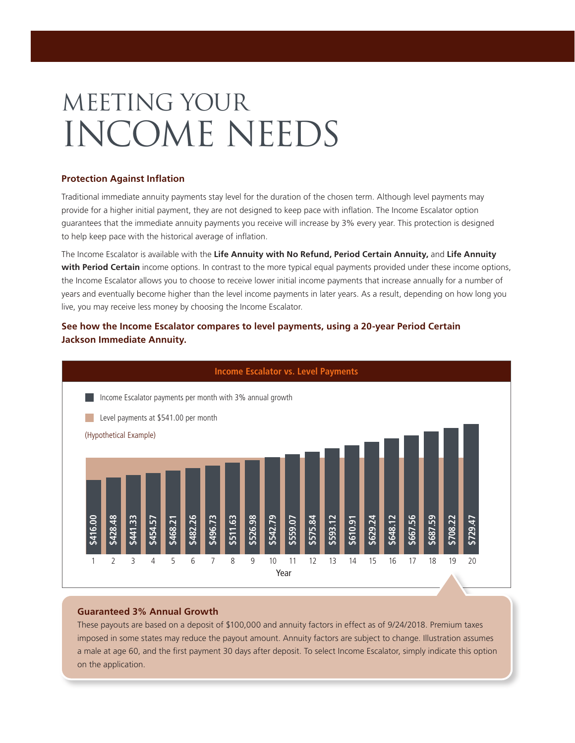# Meeting your income needs

#### **Protection Against Inflation**

Traditional immediate annuity payments stay level for the duration of the chosen term. Although level payments may provide for a higher initial payment, they are not designed to keep pace with inflation. The Income Escalator option guarantees that the immediate annuity payments you receive will increase by 3% every year. This protection is designed to help keep pace with the historical average of inflation.

The Income Escalator is available with the **Life Annuity with No Refund, Period Certain Annuity,** and **Life Annuity with Period Certain** income options. In contrast to the more typical equal payments provided under these income options, the Income Escalator allows you to choose to receive lower initial income payments that increase annually for a number of years and eventually become higher than the level income payments in later years. As a result, depending on how long you live, you may receive less money by choosing the Income Escalator.

### **See how the Income Escalator compares to level payments, using a 20-year Period Certain Jackson Immediate Annuity.**



#### **Guaranteed 3% Annual Growth**

These payouts are based on a deposit of \$100,000 and annuity factors in effect as of 9/24/2018. Premium taxes imposed in some states may reduce the payout amount. Annuity factors are subject to change. Illustration assumes a male at age 60, and the first payment 30 days after deposit. To select Income Escalator, simply indicate this option on the application.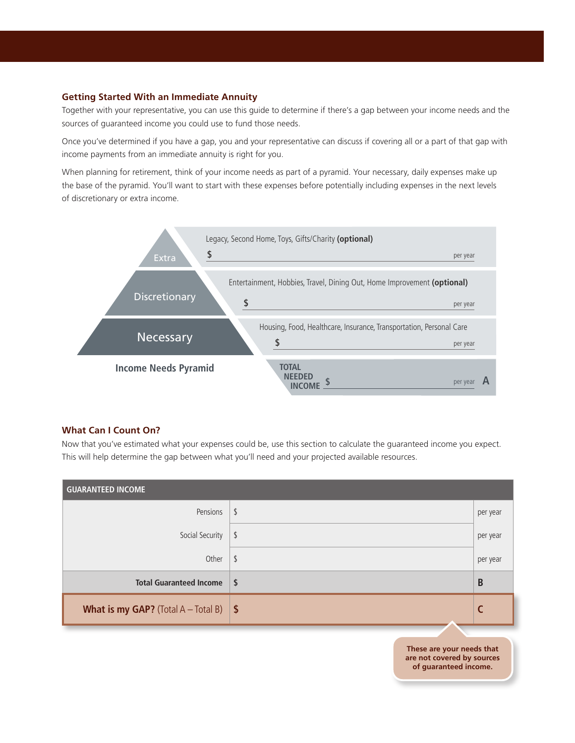#### **Getting Started With an Immediate Annuity**

Together with your representative, you can use this guide to determine if there's a gap between your income needs and the sources of guaranteed income you could use to fund those needs.

Once you've determined if you have a gap, you and your representative can discuss if covering all or a part of that gap with income payments from an immediate annuity is right for you.

When planning for retirement, think of your income needs as part of a pyramid. Your necessary, daily expenses make up the base of the pyramid. You'll want to start with these expenses before potentially including expenses in the next levels of discretionary or extra income.



#### **What Can I Count On?**

Now that you've estimated what your expenses could be, use this section to calculate the guaranteed income you expect. This will help determine the gap between what you'll need and your projected available resources.

| <b>GUARANTEED INCOME</b>                                    |                         |          |
|-------------------------------------------------------------|-------------------------|----------|
| Pensions                                                    | $\sqrt{2}$              | per year |
| Social Security                                             | \$                      | per year |
| Other                                                       | $\sqrt[6]{\frac{1}{2}}$ | per year |
| <b>Total Guaranteed Income</b>                              | $\sqrt{2}$              | B        |
| <b>What is my GAP?</b> (Total A $-$ Total B) $\parallel$ \$ |                         |          |
|                                                             |                         |          |
| These are your needs that<br>are not covered by courses     |                         |          |

**are not covered by sources of guaranteed income.**